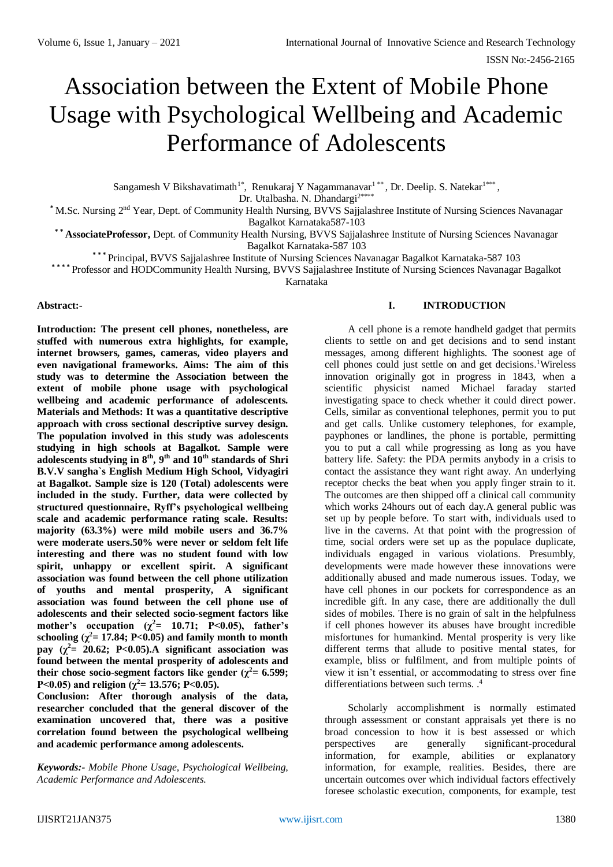# Association between the Extent of Mobile Phone Usage with Psychological Wellbeing and Academic Performance of Adolescents

Sangamesh V Bikshavatimath<sup>1\*</sup>, Renukaraj Y Nagammanavar<sup>1\*\*</sup>, Dr. Deelip. S. Natekar<sup>1\*\*\*</sup>, Dr. Utalbasha. N. Dhandargi<sup>2\*\*\*</sup>

**\*** M.Sc. Nursing 2nd Year, Dept. of Community Health Nursing, BVVS Sajjalashree Institute of Nursing Sciences Navanagar Bagalkot Karnataka587-103

**\* \* AssociateProfessor,** Dept. of Community Health Nursing, BVVS Sajjalashree Institute of Nursing Sciences Navanagar Bagalkot Karnataka-587 103

\*\*\* Principal, BVVS Sajjalashree Institute of Nursing Sciences Navanagar Bagalkot Karnataka-587 103

\*\*\*\* Professor and HODCommunity Health Nursing, BVVS Sajjalashree Institute of Nursing Sciences Navanagar Bagalkot

Karnataka

#### **Abstract:-**

**Introduction: The present cell phones, nonetheless, are stuffed with numerous extra highlights, for example, internet browsers, games, cameras, video players and even navigational frameworks. Aims: The aim of this study was to determine the Association between the extent of mobile phone usage with psychological wellbeing and academic performance of adolescents. Materials and Methods: It was a quantitative descriptive approach with cross sectional descriptive survey design. The population involved in this study was adolescents studying in high schools at Bagalkot. Sample were**  adolescents studying in  $8^{th}$ ,  $9^{th}$  and  $10^{th}$  standards of Shri **B.V.V sangha`s English Medium High School, Vidyagiri at Bagalkot. Sample size is 120 (Total) adolescents were included in the study. Further, data were collected by structured questionnaire, Ryff's psychological wellbeing scale and academic performance rating scale. Results: majority (63.3%) were mild mobile users and 36.7% were moderate users.50% were never or seldom felt life interesting and there was no student found with low spirit, unhappy or excellent spirit. A significant association was found between the cell phone utilization of youths and mental prosperity, A significant association was found between the cell phone use of adolescents and their selected socio-segment factors like mother's** occupation ( $\chi^2$  = 10.71; P<0.05), father's schooling  $(\chi^2 = 17.84; P < 0.05)$  and family month to month **pay**  $(\chi^2 = 20.62; P<0.05)$ . A significant association was **found between the mental prosperity of adolescents and their chose socio-segment factors like gender (** $\gamma^2 = 6.599$ **; P**<0.05) and religion ( $\gamma^2$ = 13.576; P<0.05).

**Conclusion: After thorough analysis of the data, researcher concluded that the general discover of the examination uncovered that, there was a positive correlation found between the psychological wellbeing and academic performance among adolescents.**

*Keywords:- Mobile Phone Usage, Psychological Wellbeing, Academic Performance and Adolescents.*

## **I. INTRODUCTION**

A cell phone is a remote handheld gadget that permits clients to settle on and get decisions and to send instant messages, among different highlights. The soonest age of cell phones could just settle on and get decisions. <sup>1</sup>Wireless innovation originally got in progress in 1843, when a scientific physicist named Michael faraday started investigating space to check whether it could direct power. Cells, similar as conventional telephones, permit you to put and get calls. Unlike customery telephones, for example, payphones or landlines, the phone is portable, permitting you to put a call while progressing as long as you have battery life. Safety: the PDA permits anybody in a crisis to contact the assistance they want right away. An underlying receptor checks the beat when you apply finger strain to it. The outcomes are then shipped off a clinical call community which works 24hours out of each day.A general public was set up by people before. To start with, individuals used to live in the caverns. At that point with the progression of time, social orders were set up as the populace duplicate, individuals engaged in various violations. Presumbly, developments were made however these innovations were additionally abused and made numerous issues. Today, we have cell phones in our pockets for correspondence as an incredible gift. In any case, there are additionally the dull sides of mobiles. There is no grain of salt in the helpfulness if cell phones however its abuses have brought incredible misfortunes for humankind. Mental prosperity is very like different terms that allude to positive mental states, for example, bliss or fulfilment, and from multiple points of view it isn't essential, or accommodating to stress over fine differentiations between such terms.<sup>4</sup>

Scholarly accomplishment is normally estimated through assessment or constant appraisals yet there is no broad concession to how it is best assessed or which perspectives are generally significant-procedural information, for example, abilities or explanatory information, for example, realities. Besides, there are uncertain outcomes over which individual factors effectively foresee scholastic execution, components, for example, test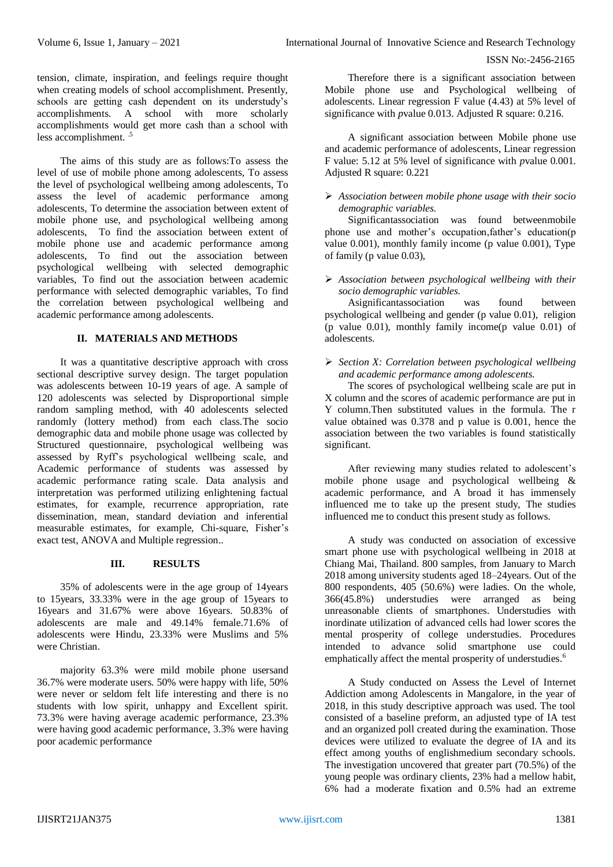tension, climate, inspiration, and feelings require thought when creating models of school accomplishment. Presently, schools are getting cash dependent on its understudy's accomplishments. A school with more scholarly accomplishments would get more cash than a school with less accomplishment.<sup>5</sup>

The aims of this study are as follows:To assess the level of use of mobile phone among adolescents, To assess the level of psychological wellbeing among adolescents, To assess the level of academic performance among adolescents, To determine the association between extent of mobile phone use, and psychological wellbeing among adolescents, To find the association between extent of mobile phone use and academic performance among adolescents, To find out the association between psychological wellbeing with selected demographic variables, To find out the association between academic performance with selected demographic variables, To find the correlation between psychological wellbeing and academic performance among adolescents.

## **II. MATERIALS AND METHODS**

It was a quantitative descriptive approach with cross sectional descriptive survey design. The target population was adolescents between 10-19 years of age. A sample of 120 adolescents was selected by Disproportional simple random sampling method, with 40 adolescents selected randomly (lottery method) from each class.The socio demographic data and mobile phone usage was collected by Structured questionnaire, psychological wellbeing was assessed by Ryff's psychological wellbeing scale, and Academic performance of students was assessed by academic performance rating scale. Data analysis and interpretation was performed utilizing enlightening factual estimates, for example, recurrence appropriation, rate dissemination, mean, standard deviation and inferential measurable estimates, for example, Chi-square, Fisher's exact test, ANOVA and Multiple regression..

#### **III. RESULTS**

35% of adolescents were in the age group of 14years to 15years, 33.33% were in the age group of 15years to 16years and 31.67% were above 16years. 50.83% of adolescents are male and 49.14% female.71.6% of adolescents were Hindu, 23.33% were Muslims and 5% were Christian.

majority 63.3% were mild mobile phone usersand 36.7% were moderate users. 50% were happy with life, 50% were never or seldom felt life interesting and there is no students with low spirit, unhappy and Excellent spirit. 73.3% were having average academic performance, 23.3% were having good academic performance, 3.3% were having poor academic performance

Therefore there is a significant association between Mobile phone use and Psychological wellbeing of adolescents. Linear regression F value (4.43) at 5% level of significance with *p*value 0.013. Adjusted R square: 0.216.

A significant association between Mobile phone use and academic performance of adolescents, Linear regression F value: 5.12 at 5% level of significance with *p*value 0.001. Adjusted R square: 0.221

#### *Association between mobile phone usage with their socio demographic variables.*

Significantassociation was found betweenmobile phone use and mother's occupation,father's education(p value 0.001), monthly family income (p value 0.001), Type of family (p value 0.03),

 *Association between psychological wellbeing with their socio demographic variables.*

Asignificantassociation was found between psychological wellbeing and gender (p value 0.01), religion (p value 0.01), monthly family income(p value 0.01) of adolescents.

 *Section X: Correlation between psychological wellbeing and academic performance among adolescents.*

The scores of psychological wellbeing scale are put in X column and the scores of academic performance are put in Y column.Then substituted values in the formula. The r value obtained was 0.378 and p value is 0.001, hence the association between the two variables is found statistically significant.

After reviewing many studies related to adolescent's mobile phone usage and psychological wellbeing & academic performance, and A broad it has immensely influenced me to take up the present study, The studies influenced me to conduct this present study as follows.

A study was conducted on association of excessive smart phone use with psychological wellbeing in 2018 at Chiang Mai, Thailand. 800 samples, from January to March 2018 among university students aged 18–24years. Out of the 800 respondents, 405 (50.6%) were ladies. On the whole, 366(45.8%) understudies were arranged as being unreasonable clients of smartphones. Understudies with inordinate utilization of advanced cells had lower scores the mental prosperity of college understudies. Procedures intended to advance solid smartphone use could emphatically affect the mental prosperity of understudies.<sup>6</sup>

A Study conducted on Assess the Level of Internet Addiction among Adolescents in Mangalore, in the year of 2018, in this study descriptive approach was used. The tool consisted of a baseline preform, an adjusted type of IA test and an organized poll created during the examination. Those devices were utilized to evaluate the degree of IA and its effect among youths of englishmedium secondary schools. The investigation uncovered that greater part (70.5%) of the young people was ordinary clients, 23% had a mellow habit, 6% had a moderate fixation and 0.5% had an extreme